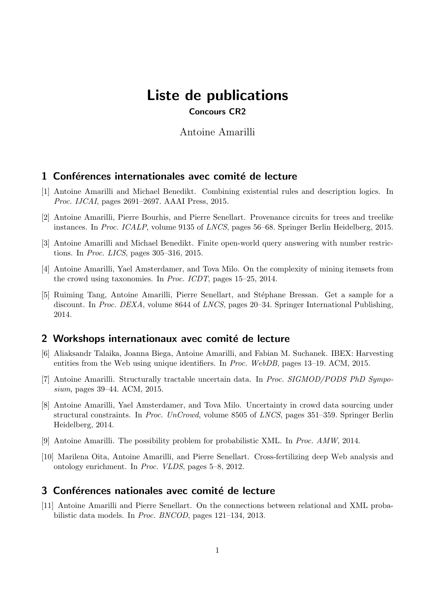# Liste de publications Concours CR2

Antoine Amarilli

## 1 Conférences internationales avec comité de lecture

- [1] Antoine Amarilli and Michael Benedikt. Combining existential rules and description logics. In Proc. IJCAI, pages 2691–2697. AAAI Press, 2015.
- [2] Antoine Amarilli, Pierre Bourhis, and Pierre Senellart. Provenance circuits for trees and treelike instances. In Proc. ICALP, volume 9135 of LNCS, pages 56–68. Springer Berlin Heidelberg, 2015.
- [3] Antoine Amarilli and Michael Benedikt. Finite open-world query answering with number restrictions. In Proc. LICS, pages 305–316, 2015.
- [4] Antoine Amarilli, Yael Amsterdamer, and Tova Milo. On the complexity of mining itemsets from the crowd using taxonomies. In Proc. ICDT, pages 15–25, 2014.
- [5] Ruiming Tang, Antoine Amarilli, Pierre Senellart, and Stéphane Bressan. Get a sample for a discount. In Proc. DEXA, volume 8644 of LNCS, pages 20–34. Springer International Publishing, 2014.

## 2 Workshops internationaux avec comité de lecture

- [6] Aliaksandr Talaika, Joanna Biega, Antoine Amarilli, and Fabian M. Suchanek. IBEX: Harvesting entities from the Web using unique identifiers. In Proc. WebDB, pages 13–19. ACM, 2015.
- [7] Antoine Amarilli. Structurally tractable uncertain data. In Proc. SIGMOD/PODS PhD Symposium, pages 39–44. ACM, 2015.
- [8] Antoine Amarilli, Yael Amsterdamer, and Tova Milo. Uncertainty in crowd data sourcing under structural constraints. In Proc. UnCrowd, volume 8505 of LNCS, pages 351–359. Springer Berlin Heidelberg, 2014.
- [9] Antoine Amarilli. The possibility problem for probabilistic XML. In Proc. AMW, 2014.
- [10] Marilena Oita, Antoine Amarilli, and Pierre Senellart. Cross-fertilizing deep Web analysis and ontology enrichment. In Proc. VLDS, pages 5–8, 2012.

## 3 Conférences nationales avec comité de lecture

[11] Antoine Amarilli and Pierre Senellart. On the connections between relational and XML probabilistic data models. In Proc. BNCOD, pages 121–134, 2013.